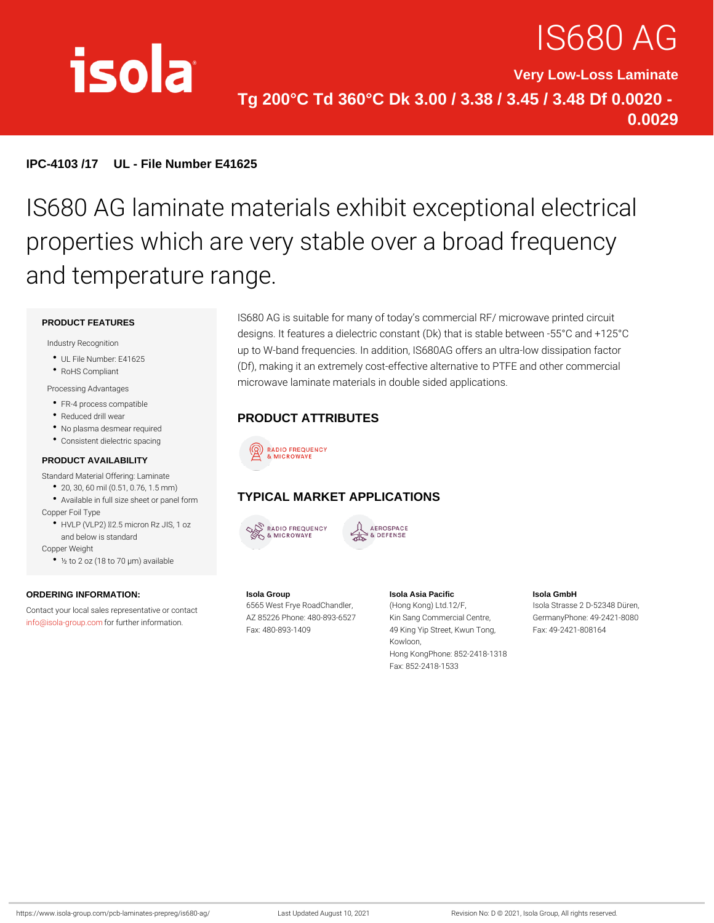# IS680 /

Very Low-Loss Laminate Tg 200°C Td 360°C Dk 3.00 / 3.38 / 3.45 / 3.48 Df 0.0020 - 0.0029

IPC-4103 /17 UL - File Number E41625

## IS680 AG laminate materials exhibit ex properties which are very stable over a and temperature range.

#### PRODUCT FEATURES

Industry Recognition

- UL File Number: E41625
- RoHS Compliant

#### Processing Advantages

- FR-4 process compatible
- Reduced drill wear
- No plasma desmear required
- Consistent dielectric spacing

#### PRODUCT AVAILABILITY

Standard Material Offering: Laminate

- 20, 30, 60 mil (0.51, 0.76, 1.5 mm) Available in full size sheet or panel GelmMARKET APPLICATIONS
- Copper Foil Type
- HVLP (VLP2) "d2.5 micron Rz JIS, 1 oz and below is standard

Copper Weight

½ to 2 oz (18 to 70 µm) available

ORDERING INFORMATION: Contact your local sales representative of contact Frye RoadChandHemg  $\mathsf{info@isola\text{-}grof}$  .  $\mathsf{four}$  .  $\mathsf{four}$  ther information. Isola Group AZ 85226 Phone: 480-893K652S Fax: 480-893-1409 Isola Asia Pacific n(oHloenng Kong) Ltd.12/F, K652Sang Commercial CenGreer, 49 King Yip Street, Kwun FTaoxn: g 49-2421-808164 Kowloon, Hong KongPhone: 852-2418-1318 Isola GmbH Isola Strasse 2 D-52348 Düren, GermanyPhone: 49-2421-8080

Fax: 852-2418-1533

IS680 AG is suitable for many of today s commercial RF/ microv designs. It features a dielectric constant (Dk) that is stable be up to W-band frequencies. In addition, IS680AG offers an ultra-(Df), making it an extremely cost-effective alternative to PTFE microwave laminate materials in double sided applications.

PRODUCT ATTRIBUTES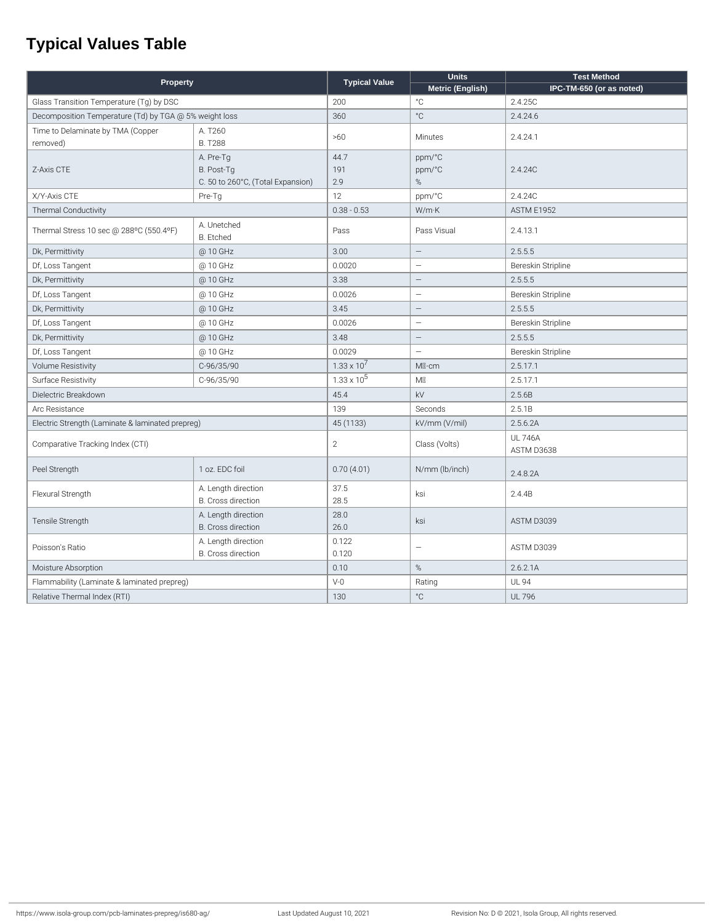### **Typical Values Table**

| Property                                               |                                           | <b>Typical Value</b> | <b>Units</b>             | <b>Test Method</b>       |
|--------------------------------------------------------|-------------------------------------------|----------------------|--------------------------|--------------------------|
|                                                        |                                           |                      | Metric (English)         | IPC-TM-650 (or as noted) |
| Glass Transition Temperature (Tg) by DSC               |                                           | 200                  | $^{\circ}$ C             | 2.4.25C                  |
| Decomposition Temperature (Td) by TGA @ 5% weight loss |                                           | 360                  | $^{\circ} \mathrm C$     | 2.4.24.6                 |
| Time to Delaminate by TMA (Copper                      | A. T260                                   | >60                  | Minutes                  | 2.4.24.1                 |
| removed)                                               | <b>B. T288</b>                            |                      |                          |                          |
|                                                        | A. Pre-Tg                                 | 44.7                 | ppm/°C                   |                          |
| Z-Axis CTE                                             | B. Post-Tg                                | 191                  | ppm/°C                   | 2.4.24C                  |
|                                                        | C. 50 to 260°C, (Total Expansion)         | 2.9                  | %                        |                          |
| X/Y-Axis CTE                                           | Pre-Tg                                    | 12                   | ppm/°C                   | 2.4.24C                  |
| Thermal Conductivity                                   |                                           | $0.38 - 0.53$        | W/mK                     | <b>ASTM E1952</b>        |
| Thermal Stress 10 sec @ 288°C (550.4°F)                | A. Unetched                               | Pass                 | Pass Visual              | 2.4.13.1                 |
|                                                        | <b>B.</b> Etched                          |                      |                          |                          |
| Dk, Permittivity                                       | @ 10 GHz                                  | 3.00                 | $\equiv$                 | 2.5.5.5                  |
| Df, Loss Tangent                                       | @ 10 GHz                                  | 0.0020               | $\overline{\phantom{0}}$ | Bereskin Stripline       |
| Dk, Permittivity                                       | @ 10 GHz                                  | 3.38                 | $\qquad \qquad -$        | 2.5.5.5                  |
| Df, Loss Tangent                                       | @ 10 GHz                                  | 0.0026               | $\overline{\phantom{0}}$ | Bereskin Stripline       |
| Dk, Permittivity                                       | @ 10 GHz                                  | 3.45                 | $\overline{\phantom{0}}$ | 2.5.5.5                  |
| Df, Loss Tangent                                       | @ 10 GHz                                  | 0.0026               | $\qquad \qquad -$        | Bereskin Stripline       |
| Dk, Permittivity                                       | @ 10 GHz                                  | 3.48                 | $\overline{\phantom{0}}$ | 2.5.5.5                  |
| Df, Loss Tangent                                       | @ 10 GHz                                  | 0.0029               | $\overline{\phantom{0}}$ | Bereskin Stripline       |
| <b>Volume Resistivity</b>                              | C-96/35/90                                | $1.33 \times 10^{7}$ | MI-cm                    | 2.5.17.1                 |
| Surface Resistivity                                    | C-96/35/90                                | $1.33 \times 10^5$   | M                        | 2.5.17.1                 |
| Dielectric Breakdown                                   |                                           | 45.4                 | kV                       | 2.5.6B                   |
| Arc Resistance                                         |                                           | 139                  | Seconds                  | 2.5.1B                   |
| Electric Strength (Laminate & laminated prepreg)       |                                           | 45 (1133)            | kV/mm (V/mil)            | 2.5.6.2A                 |
| Comparative Tracking Index (CTI)                       |                                           | $\overline{2}$       | Class (Volts)            | <b>UL 746A</b>           |
|                                                        |                                           |                      |                          | ASTM D3638               |
| Peel Strength                                          | 1 oz. EDC foil                            | 0.70(4.01)           | N/mm (lb/inch)           | 2.4.8.2A                 |
| Flexural Strength                                      | A. Length direction<br>B. Cross direction | 37.5<br>28.5         | ksi                      | 2.4.4B                   |
| Tensile Strength                                       | A. Length direction                       | 28.0                 | ksi                      | ASTM D3039               |
|                                                        | B. Cross direction                        | 26.0                 |                          |                          |
| Poisson's Ratio                                        | A. Length direction                       | 0.122                | $\overline{\phantom{0}}$ | ASTM D3039               |
|                                                        | B. Cross direction                        | 0.120                |                          |                          |
| Moisture Absorption                                    |                                           | 0.10                 | $\%$                     | 2.6.2.1A                 |
| Flammability (Laminate & laminated prepreg)            |                                           | $V-0$                | Rating                   | <b>UL 94</b>             |
| Relative Thermal Index (RTI)                           |                                           | 130                  | $^{\circ} \mathrm C$     | <b>UL 796</b>            |
|                                                        |                                           |                      |                          |                          |